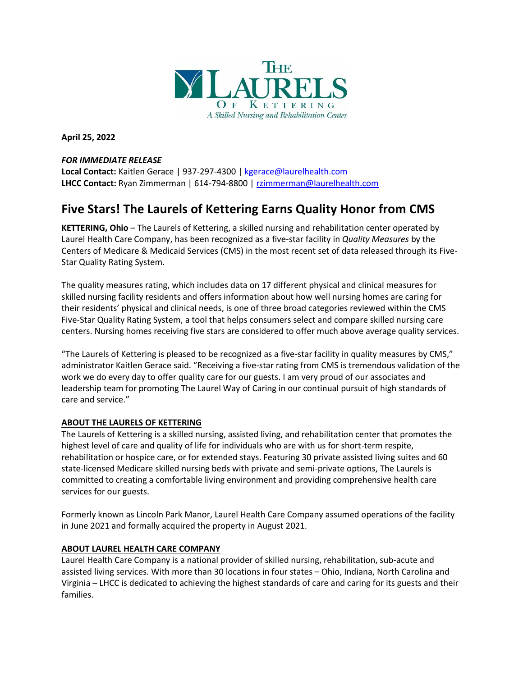

**April 25, 2022** 

## *FOR IMMEDIATE RELEASE*

**Local Contact:** Kaitlen Gerace | 937-297-4300 | [kgerace@laurelhealth.com](mailto:kgerace@laurelhealth.com) **LHCC Contact:** Ryan Zimmerman | 614-794-8800 | [rzimmerman@laurelhealth.com](mailto:rzimmerman@laurelhealth.com)

# **Five Stars! The Laurels of Kettering Earns Quality Honor from CMS**

**KETTERING, Ohio** – The Laurels of Kettering, a skilled nursing and rehabilitation center operated by Laurel Health Care Company, has been recognized as a five-star facility in *Quality Measures* by the Centers of Medicare & Medicaid Services (CMS) in the most recent set of data released through its Five-Star Quality Rating System.

The quality measures rating, which includes data on 17 different physical and clinical measures for skilled nursing facility residents and offers information about how well nursing homes are caring for their residents' physical and clinical needs, is one of three broad categories reviewed within the CMS Five-Star Quality Rating System, a tool that helps consumers select and compare skilled nursing care centers. Nursing homes receiving five stars are considered to offer much above average quality services.

"The Laurels of Kettering is pleased to be recognized as a five-star facility in quality measures by CMS," administrator Kaitlen Gerace said. "Receiving a five-star rating from CMS is tremendous validation of the work we do every day to offer quality care for our guests. I am very proud of our associates and leadership team for promoting The Laurel Way of Caring in our continual pursuit of high standards of care and service."

### **ABOUT THE LAURELS OF KETTERING**

The Laurels of Kettering is a skilled nursing, assisted living, and rehabilitation center that promotes the highest level of care and quality of life for individuals who are with us for short-term respite, rehabilitation or hospice care, or for extended stays. Featuring 30 private assisted living suites and 60 state-licensed Medicare skilled nursing beds with private and semi-private options, The Laurels is committed to creating a comfortable living environment and providing comprehensive health care services for our guests.

Formerly known as Lincoln Park Manor, Laurel Health Care Company assumed operations of the facility in June 2021 and formally acquired the property in August 2021.

### **ABOUT LAUREL HEALTH CARE COMPANY**

Laurel Health Care Company is a national provider of skilled nursing, rehabilitation, sub-acute and assisted living services. With more than 30 locations in four states – Ohio, Indiana, North Carolina and Virginia – LHCC is dedicated to achieving the highest standards of care and caring for its guests and their families.